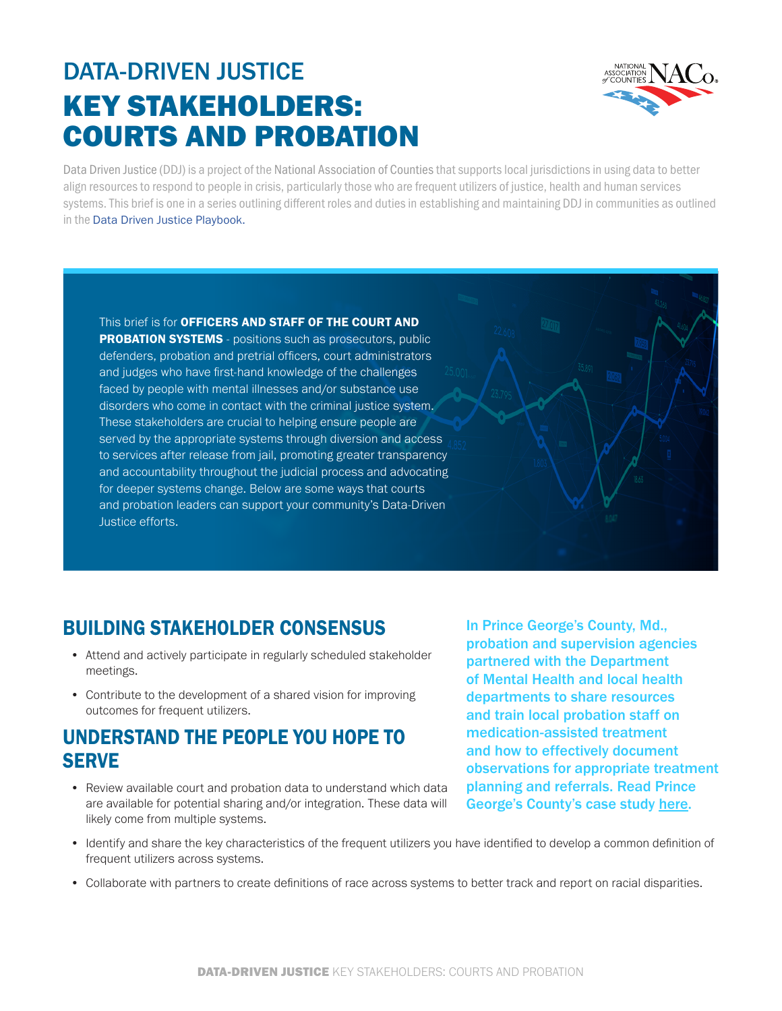# DATA-DRIVEN JUSTICE KEY STAKEHOLDERS: COURTS AND PROBATION



Data Driven Justice (DDJ) is a project of the National Association of Counties that supports local jurisdictions in using data to better align resources to respond to people in crisis, particularly those who are frequent utilizers of justice, health and human services systems. This brief is one in a series outlining different roles and duties in establishing and maintaining DDJ in communities as outlined in the [Data Driven Justice Playbook.](https://craftmediabucket.s3.amazonaws.com/uploads/DDJPlaybook.pdf)

This brief is for OFFICERS AND STAFF OF THE COURT AND **PROBATION SYSTEMS** - positions such as prosecutors, public

defenders, probation and pretrial officers, court administrators and judges who have first-hand knowledge of the challenges faced by people with mental illnesses and/or substance use disorders who come in contact with the criminal justice system. These stakeholders are crucial to helping ensure people are served by the appropriate systems through diversion and access to services after release from jail, promoting greater transparency and accountability throughout the judicial process and advocating for deeper systems change. Below are some ways that courts and probation leaders can support your community's Data-Driven Justice efforts.

## BUILDING STAKEHOLDER CONSENSUS

- Attend and actively participate in regularly scheduled stakeholder meetings.
- Contribute to the development of a shared vision for improving outcomes for frequent utilizers.

### UNDERSTAND THE PEOPLE YOU HOPE TO **SERVE**

• Review available court and probation data to understand which data are available for potential sharing and/or integration. These data will likely come from multiple systems.

In Prince George's County, Md., probation and supervision agencies partnered with the Department of Mental Health and local health departments to share resources and train local probation staff on medication-assisted treatment and how to effectively document observations for appropriate treatment planning and referrals. Read Prince George's County's case study [here.](https://www.naco.org/sites/default/files/documents/DDJBHI_PG%20County%20MD_FINAL.pdf)

- Identify and share the key characteristics of the frequent utilizers you have identified to develop a common definition of frequent utilizers across systems.
- Collaborate with partners to create definitions of race across systems to better track and report on racial disparities.